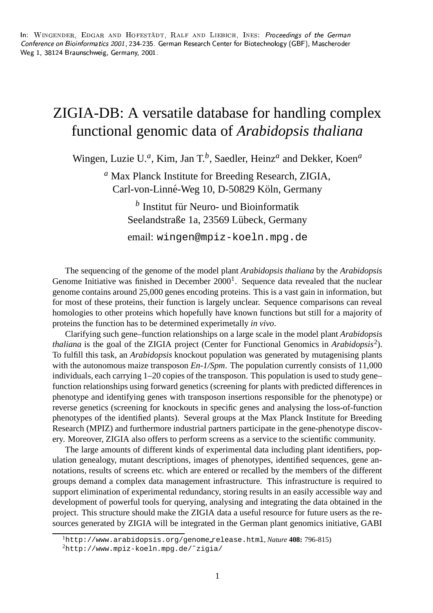$\qquad \qquad \bullet$  . The set of the set of the set of the set of the set of the set of the set of the set of the set of the set of the set of the set of the set of the set of the set of the set of the set of the set of the set of a abu baharan di baharatan di baharatan di bahasa di bahasa di bahasa di bahasa di bahasa di bahasa di bahasa ialzmooth in the set of  $\mathbb{R}^2$ 

## ZIGIA-DB: A versatile database for handling complex functional genomic data of *Arabidopsis thaliana*

Wingen, Luzie U.<sup>*a*</sup>, Kim, Jan T.<sup>*b*</sup>, Saedler, Heinz<sup>*a*</sup> and Dekker, Koen<sup>*a*</sup>

*<sup>a</sup>* Max Planck Institute for Breeding Research, ZIGIA, Carl-von-Linné-Weg 10, D-50829 Köln, Germany

> <sup>*b*</sup> Institut für Neuro- und Bioinformatik Seelandstraße 1a, 23569 Lübeck, Germany

> email: wingen@mpiz-koeln.mpg.de

The sequencing of the genome of the model plant *Arabidopsis thaliana* by the *Arabidopsis* Genome Initiative was finished in December  $2000<sup>1</sup>$ . Sequence data revealed that the nuclear genome contains around 25,000 genes encoding proteins. This is a vast gain in information, but for most of these proteins, their function is largely unclear. Sequence comparisons can reveal homologies to other proteins which hopefully have known functions but still for a majority of proteins the function has to be determined experimetally *in vivo*.

Clarifying such gene–function relationships on a large scale in the model plant *Arabidopsis thaliana* is the goal of the ZIGIA project (Center for Functional Genomics in *Arabidopsis*<sup>2</sup> ). To fulfill this task, an *Arabidopsis* knockout population was generated by mutagenising plants with the autonomous maize transposon *En-1/Spm*. The population currently consists of 11,000 individuals, each carrying 1–20 copies of the transposon. This population is used to study gene– function relationships using forward genetics (screening for plants with predicted differences in phenotype and identifying genes with transposon insertions responsible for the phenotype) or reverse genetics (screening for knockouts in specific genes and analysing the loss-of-function phenotypes of the identified plants). Several groups at the Max Planck Institute for Breeding Research (MPIZ) and furthermore industrial partners participate in the gene-phenotype discovery. Moreover, ZIGIA also offers to perform screens as a service to the scientific community.

The large amounts of different kinds of experimental data including plant identifiers, population genealogy, mutant descriptions, images of phenotypes, identified sequences, gene annotations, results of screens etc. which are entered or recalled by the members of the different groups demand a complex data management infrastructure. This infrastructure is required to support elimination of experimental redundancy, storing results in an easily accessible way and development of powerful tools for querying, analysing and integrating the data obtained in the project. This structure should make the ZIGIA data a useful resource for future users as the resources generated by ZIGIA will be integrated in the German plant genomics initiative, GABI

<sup>1</sup>http://www.arabidopsis.org/genome release.html, *Nature* **408:** 796-815)

 $^{2}$ http://www.mpiz-koeln.mpg.de/~zigia/